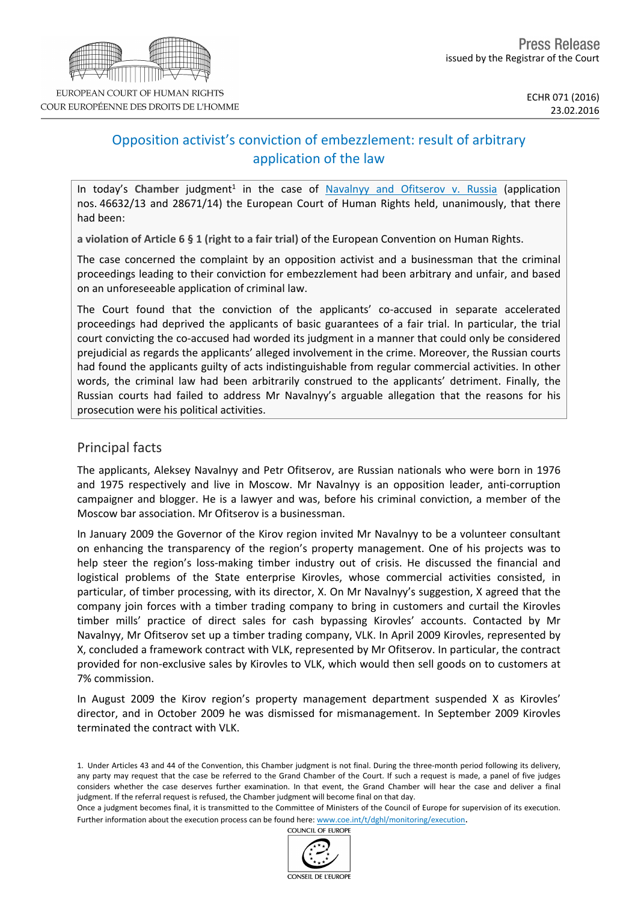

# Opposition activist's conviction of embezzlement: result of arbitrary application of the law

In today's Chamber judgment<sup>1</sup> in the case of [Navalnyy](http://hudoc.echr.coe.int/eng?i=001-161060) [and](http://hudoc.echr.coe.int/eng?i=001-161060) [Ofitserov](http://hudoc.echr.coe.int/eng?i=001-161060) [v.](http://hudoc.echr.coe.int/eng?i=001-161060) [Russia](http://hudoc.echr.coe.int/eng?i=001-161060) (application nos. 46632/13 and 28671/14) the European Court of Human Rights held, unanimously, that there had been:

**a violation of Article 6 § 1 (right to a fair trial)** of the European Convention on Human Rights.

The case concerned the complaint by an opposition activist and a businessman that the criminal proceedings leading to their conviction for embezzlement had been arbitrary and unfair, and based on an unforeseeable application of criminal law.

The Court found that the conviction of the applicants' co-accused in separate accelerated proceedings had deprived the applicants of basic guarantees of a fair trial. In particular, the trial court convicting the co-accused had worded its judgment in a manner that could only be considered prejudicial as regards the applicants' alleged involvement in the crime. Moreover, the Russian courts had found the applicants guilty of acts indistinguishable from regular commercial activities. In other words, the criminal law had been arbitrarily construed to the applicants' detriment. Finally, the Russian courts had failed to address Mr Navalnyy's arguable allegation that the reasons for his prosecution were his political activities.

## Principal facts

The applicants, Aleksey Navalnyy and Petr Ofitserov, are Russian nationals who were born in 1976 and 1975 respectively and live in Moscow. Mr Navalnyy is an opposition leader, anti-corruption campaigner and blogger. He is a lawyer and was, before his criminal conviction, a member of the Moscow bar association. Mr Ofitserov is a businessman.

In January 2009 the Governor of the Kirov region invited Mr Navalnyy to be a volunteer consultant on enhancing the transparency of the region's property management. One of his projects was to help steer the region's loss-making timber industry out of crisis. He discussed the financial and logistical problems of the State enterprise Kirovles, whose commercial activities consisted, in particular, of timber processing, with its director, X. On Mr Navalnyy's suggestion, X agreed that the company join forces with a timber trading company to bring in customers and curtail the Kirovles timber mills' practice of direct sales for cash bypassing Kirovles' accounts. Contacted by Mr Navalnyy, Mr Ofitserov set up a timber trading company, VLK. In April 2009 Kirovles, represented by X, concluded a framework contract with VLK, represented by Mr Ofitserov. In particular, the contract provided for non-exclusive sales by Kirovles to VLK, which would then sell goods on to customers at 7% commission.

In August 2009 the Kirov region's property management department suspended X as Kirovles' director, and in October 2009 he was dismissed for mismanagement. In September 2009 Kirovles terminated the contract with VLK.

COUNCIL OF EUROPE



<sup>1.</sup> Under Articles 43 and 44 of the Convention, this Chamber judgment is not final. During the three-month period following its delivery, any party may request that the case be referred to the Grand Chamber of the Court. If such a request is made, a panel of five judges considers whether the case deserves further examination. In that event, the Grand Chamber will hear the case and deliver a final judgment. If the referral request is refused, the Chamber judgment will become final on that day.

Once a judgment becomes final, it is transmitted to the Committee of Ministers of the Council of Europe for supervision of its execution. Further information about the execution process can be found here: [www.coe.int/t/dghl/monitoring/execution](http://www.coe.int/t/dghl/monitoring/execution).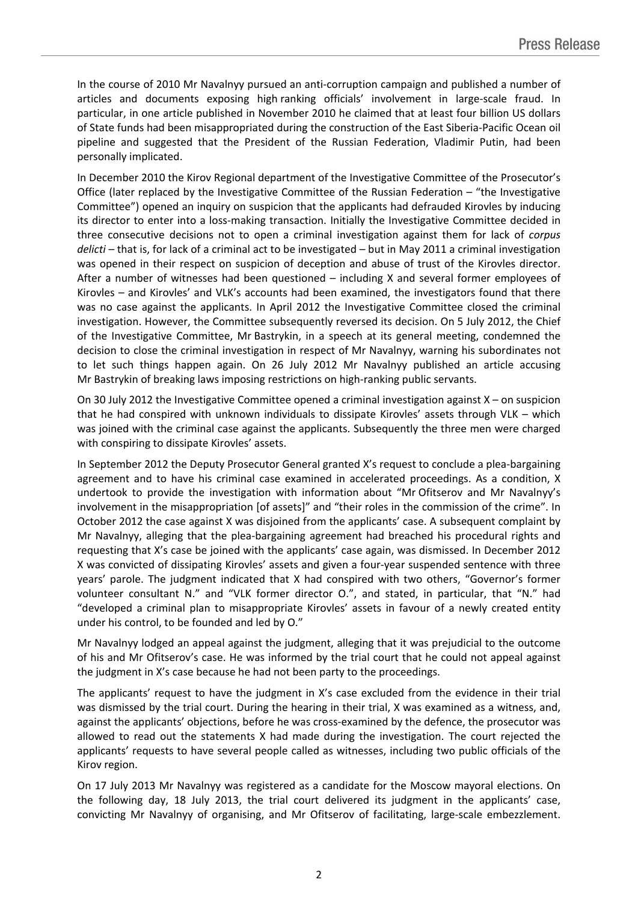In the course of 2010 Mr Navalnyy pursued an anti-corruption campaign and published a number of articles and documents exposing high ranking officials' involvement in large-scale fraud. In particular, in one article published in November 2010 he claimed that at least four billion US dollars of State funds had been misappropriated during the construction of the East Siberia-Pacific Ocean oil pipeline and suggested that the President of the Russian Federation, Vladimir Putin, had been personally implicated.

In December 2010 the Kirov Regional department of the Investigative Committee of the Prosecutor's Office (later replaced by the Investigative Committee of the Russian Federation – "the Investigative Committee") opened an inquiry on suspicion that the applicants had defrauded Kirovles by inducing its director to enter into a loss-making transaction. Initially the Investigative Committee decided in three consecutive decisions not to open a criminal investigation against them for lack of *corpus delicti* – that is, for lack of a criminal act to be investigated – but in May 2011 a criminal investigation was opened in their respect on suspicion of deception and abuse of trust of the Kirovles director. After a number of witnesses had been questioned – including X and several former employees of Kirovles – and Kirovles' and VLK's accounts had been examined, the investigators found that there was no case against the applicants. In April 2012 the Investigative Committee closed the criminal investigation. However, the Committee subsequently reversed its decision. On 5 July 2012, the Chief of the Investigative Committee, Mr Bastrykin, in a speech at its general meeting, condemned the decision to close the criminal investigation in respect of Mr Navalnyy, warning his subordinates not to let such things happen again. On 26 July 2012 Mr Navalnyy published an article accusing Mr Bastrykin of breaking laws imposing restrictions on high-ranking public servants.

On 30 July 2012 the Investigative Committee opened a criminal investigation against X – on suspicion that he had conspired with unknown individuals to dissipate Kirovles' assets through VLK – which was joined with the criminal case against the applicants. Subsequently the three men were charged with conspiring to dissipate Kirovles' assets.

In September 2012 the Deputy Prosecutor General granted X's request to conclude a plea-bargaining agreement and to have his criminal case examined in accelerated proceedings. As a condition, X undertook to provide the investigation with information about "Mr Ofitserov and Mr Navalnyy's involvement in the misappropriation [of assets]" and "their roles in the commission of the crime". In October 2012 the case against X was disjoined from the applicants' case. A subsequent complaint by Mr Navalnyy, alleging that the plea-bargaining agreement had breached his procedural rights and requesting that X's case be joined with the applicants' case again, was dismissed. In December 2012 X was convicted of dissipating Kirovles' assets and given a four-year suspended sentence with three years' parole. The judgment indicated that X had conspired with two others, "Governor's former volunteer consultant N." and "VLK former director O.", and stated, in particular, that "N." had "developed a criminal plan to misappropriate Kirovles' assets in favour of a newly created entity under his control, to be founded and led by O."

Mr Navalnyy lodged an appeal against the judgment, alleging that it was prejudicial to the outcome of his and Mr Ofitserov's case. He was informed by the trial court that he could not appeal against the judgment in X's case because he had not been party to the proceedings.

The applicants' request to have the judgment in X's case excluded from the evidence in their trial was dismissed by the trial court. During the hearing in their trial, X was examined as a witness, and, against the applicants' objections, before he was cross-examined by the defence, the prosecutor was allowed to read out the statements X had made during the investigation. The court rejected the applicants' requests to have several people called as witnesses, including two public officials of the Kirov region.

On 17 July 2013 Mr Navalnyy was registered as a candidate for the Moscow mayoral elections. On the following day, 18 July 2013, the trial court delivered its judgment in the applicants' case, convicting Mr Navalnyy of organising, and Mr Ofitserov of facilitating, large-scale embezzlement.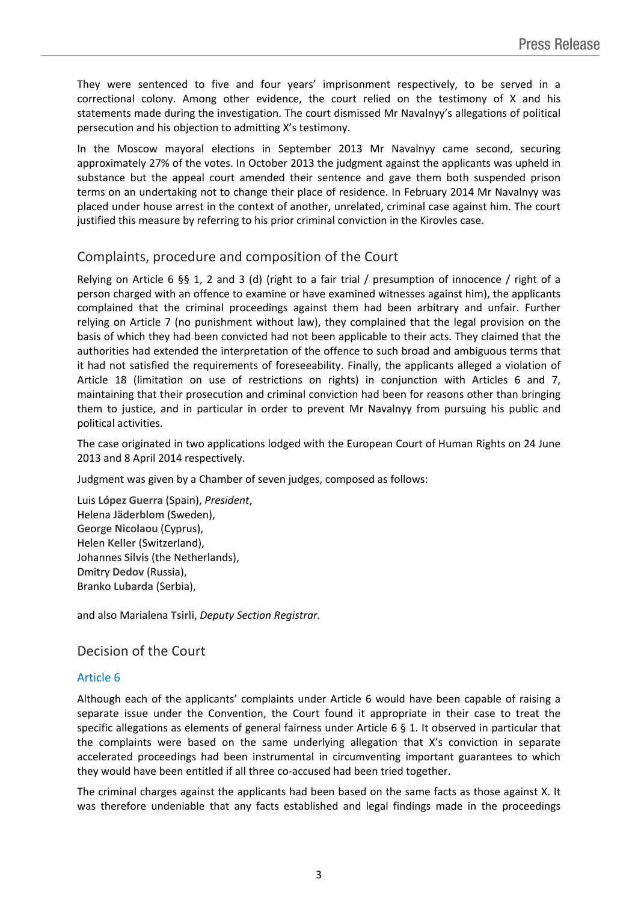They were sentenced to five and four years' imprisonment respectively, to be served in a correctional colony. Among other evidence, the court relied on the testimony of X and his statements made during the investigation. The court dismissed Mr Navalnyy's allegations of political persecution and his objection to admitting X's testimony.

In the Moscow mayoral elections in September 2013 Mr Navalnyy came second, securing approximately 27% of the votes. In October 2013 the judgment against the applicants was upheld in substance but the appeal court amended their sentence and gave them both suspended prison terms on an undertaking not to change their place of residence. In February 2014 Mr Navalnyy was placed under house arrest in the context of another, unrelated, criminal case against him. The court justified this measure by referring to his prior criminal conviction in the Kirovles case.

# Complaints, procedure and composition of the Court

Relying on Article 6 §§ 1, 2 and 3 (d) (right to a fair trial / presumption of innocence / right of a person charged with an offence to examine or have examined witnesses against him), the applicants complained that the criminal proceedings against them had been arbitrary and unfair. Further relying on Article 7 (no punishment without law), they complained that the legal provision on the basis of which they had been convicted had not been applicable to their acts. They claimed that the authorities had extended the interpretation of the offence to such broad and ambiguous terms that it had not satisfied the requirements of foreseeability. Finally, the applicants alleged a violation of Article 18 (limitation on use of restrictions on rights) in conjunction with Articles 6 and 7, maintaining that their prosecution and criminal conviction had been for reasons other than bringing them to justice, and in particular in order to prevent Mr Navalnyy from pursuing his public and political activities.

The case originated in two applications lodged with the European Court of Human Rights on 24 June 2013 and 8 April 2014 respectively.

Judgment was given by a Chamber of seven judges, composed as follows:

Luis **López Guerra** (Spain), *President*, Helena **Jäderblom** (Sweden), George **Nicolaou** (Cyprus), Helen **Keller** (Switzerland), Johannes **Silvis** (the Netherlands), Dmitry **Dedov** (Russia), Branko **Lubarda** (Serbia),

and also Marialena **Tsirli**, *Deputy Section Registrar.*

## Decision of the Court

## Article 6

Although each of the applicants' complaints under Article 6 would have been capable of raising a separate issue under the Convention, the Court found it appropriate in their case to treat the specific allegations as elements of general fairness under Article 6 § 1. It observed in particular that the complaints were based on the same underlying allegation that X's conviction in separate accelerated proceedings had been instrumental in circumventing important guarantees to which they would have been entitled if all three co-accused had been tried together.

The criminal charges against the applicants had been based on the same facts as those against X. It was therefore undeniable that any facts established and legal findings made in the proceedings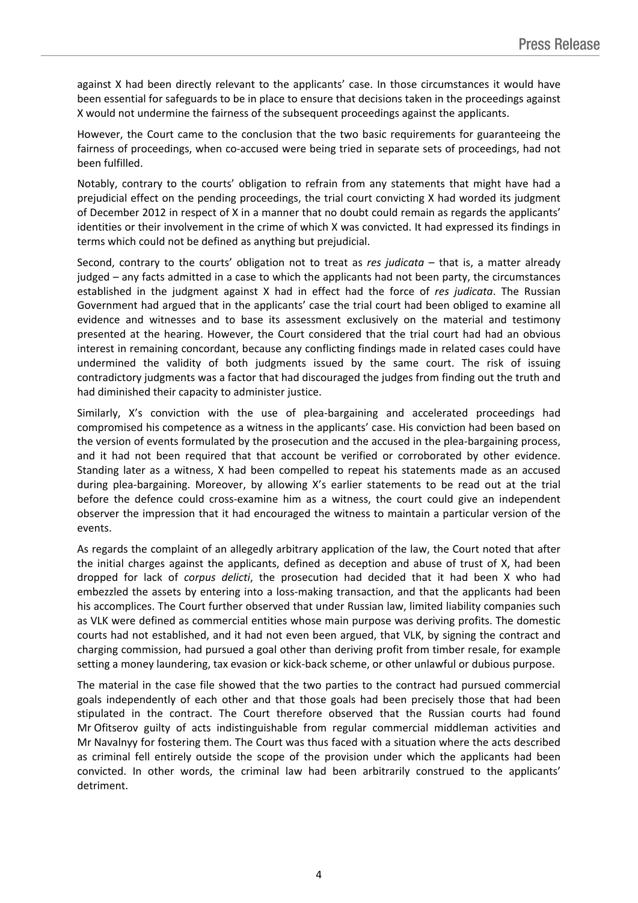against X had been directly relevant to the applicants' case. In those circumstances it would have been essential for safeguards to be in place to ensure that decisions taken in the proceedings against X would not undermine the fairness of the subsequent proceedings against the applicants.

However, the Court came to the conclusion that the two basic requirements for guaranteeing the fairness of proceedings, when co-accused were being tried in separate sets of proceedings, had not been fulfilled.

Notably, contrary to the courts' obligation to refrain from any statements that might have had a prejudicial effect on the pending proceedings, the trial court convicting X had worded its judgment of December 2012 in respect of X in a manner that no doubt could remain as regards the applicants' identities or their involvement in the crime of which X was convicted. It had expressed its findings in terms which could not be defined as anything but prejudicial.

Second, contrary to the courts' obligation not to treat as *res judicata* – that is, a matter already judged – any facts admitted in a case to which the applicants had not been party, the circumstances established in the judgment against X had in effect had the force of *res judicata*. The Russian Government had argued that in the applicants' case the trial court had been obliged to examine all evidence and witnesses and to base its assessment exclusively on the material and testimony presented at the hearing. However, the Court considered that the trial court had had an obvious interest in remaining concordant, because any conflicting findings made in related cases could have undermined the validity of both judgments issued by the same court. The risk of issuing contradictory judgments was a factor that had discouraged the judges from finding out the truth and had diminished their capacity to administer justice.

Similarly, X's conviction with the use of plea-bargaining and accelerated proceedings had compromised his competence as a witness in the applicants' case. His conviction had been based on the version of events formulated by the prosecution and the accused in the plea-bargaining process, and it had not been required that that account be verified or corroborated by other evidence. Standing later as a witness, X had been compelled to repeat his statements made as an accused during plea-bargaining. Moreover, by allowing X's earlier statements to be read out at the trial before the defence could cross-examine him as a witness, the court could give an independent observer the impression that it had encouraged the witness to maintain a particular version of the events.

As regards the complaint of an allegedly arbitrary application of the law, the Court noted that after the initial charges against the applicants, defined as deception and abuse of trust of X, had been dropped for lack of *corpus delicti*, the prosecution had decided that it had been X who had embezzled the assets by entering into a loss-making transaction, and that the applicants had been his accomplices. The Court further observed that under Russian law, limited liability companies such as VLK were defined as commercial entities whose main purpose was deriving profits. The domestic courts had not established, and it had not even been argued, that VLK, by signing the contract and charging commission, had pursued a goal other than deriving profit from timber resale, for example setting a money laundering, tax evasion or kick-back scheme, or other unlawful or dubious purpose.

The material in the case file showed that the two parties to the contract had pursued commercial goals independently of each other and that those goals had been precisely those that had been stipulated in the contract. The Court therefore observed that the Russian courts had found Mr Ofitserov guilty of acts indistinguishable from regular commercial middleman activities and Mr Navalnyy for fostering them. The Court was thus faced with a situation where the acts described as criminal fell entirely outside the scope of the provision under which the applicants had been convicted. In other words, the criminal law had been arbitrarily construed to the applicants' detriment.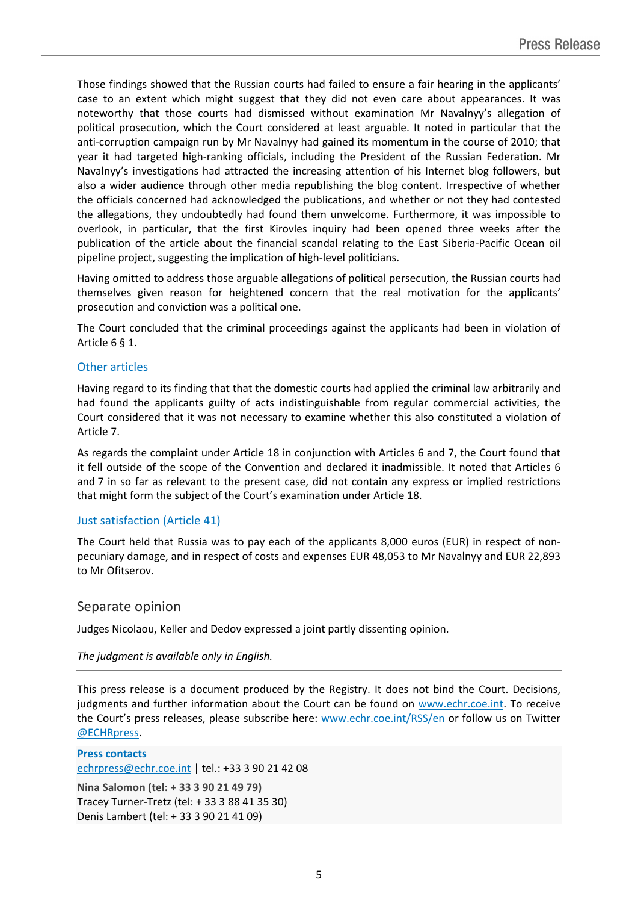Those findings showed that the Russian courts had failed to ensure a fair hearing in the applicants' case to an extent which might suggest that they did not even care about appearances. It was noteworthy that those courts had dismissed without examination Mr Navalnyy's allegation of political prosecution, which the Court considered at least arguable. It noted in particular that the anti-corruption campaign run by Mr Navalnyy had gained its momentum in the course of 2010; that year it had targeted high-ranking officials, including the President of the Russian Federation. Mr Navalnyy's investigations had attracted the increasing attention of his Internet blog followers, but also a wider audience through other media republishing the blog content. Irrespective of whether the officials concerned had acknowledged the publications, and whether or not they had contested the allegations, they undoubtedly had found them unwelcome. Furthermore, it was impossible to overlook, in particular, that the first Kirovles inquiry had been opened three weeks after the publication of the article about the financial scandal relating to the East Siberia-Pacific Ocean oil pipeline project, suggesting the implication of high-level politicians.

Having omitted to address those arguable allegations of political persecution, the Russian courts had themselves given reason for heightened concern that the real motivation for the applicants' prosecution and conviction was a political one.

The Court concluded that the criminal proceedings against the applicants had been in violation of Article 6 § 1.

#### Other articles

Having regard to its finding that that the domestic courts had applied the criminal law arbitrarily and had found the applicants guilty of acts indistinguishable from regular commercial activities, the Court considered that it was not necessary to examine whether this also constituted a violation of Article 7.

As regards the complaint under Article 18 in conjunction with Articles 6 and 7, the Court found that it fell outside of the scope of the Convention and declared it inadmissible. It noted that Articles 6 and 7 in so far as relevant to the present case, did not contain any express or implied restrictions that might form the subject of the Court's examination under Article 18.

## Just satisfaction (Article 41)

The Court held that Russia was to pay each of the applicants 8,000 euros (EUR) in respect of nonpecuniary damage, and in respect of costs and expenses EUR 48,053 to Mr Navalnyy and EUR 22,893 to Mr Ofitserov.

## Separate opinion

Judges Nicolaou, Keller and Dedov expressed a joint partly dissenting opinion.

#### *The judgment is available only in English.*

This press release is a document produced by the Registry. It does not bind the Court. Decisions, judgments and further information about the Court can be found on [www.echr.coe.int](http://www.echr.coe.int/). To receive the Court's press releases, please subscribe here: [www.echr.coe.int/RSS/en](http://www.echr.coe.int/RSS/en) or follow us on Twitter [@ECHRpress.](https://twitter.com/ECHR_Press)

**Press contacts** [echrpress@echr.coe.int](mailto:Echrpress@echr.coe.int) | tel.: +33 3 90 21 42 08 **Nina Salomon (tel: + 33 3 90 21 49 79)** Tracey Turner-Tretz (tel: + 33 3 88 41 35 30) Denis Lambert (tel: + 33 3 90 21 41 09)